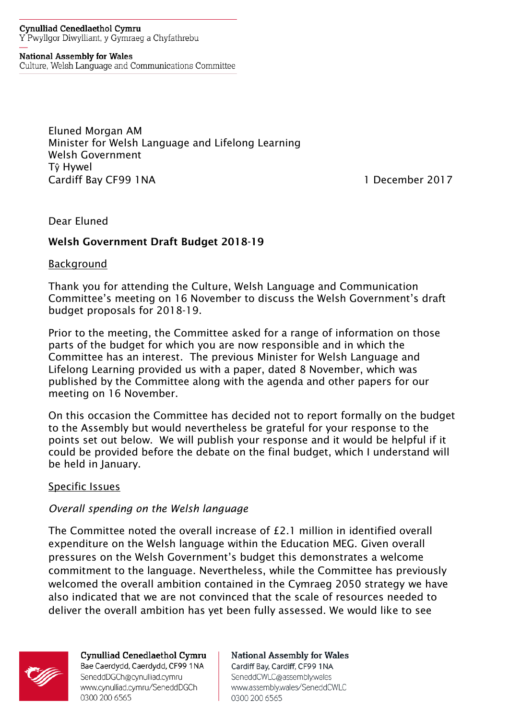#### **Cynulliad Cenedlaethol Cymru** Y Pwyllgor Diwylliant, y Gymraeg a Chyfathrebu

**National Assembly for Wales** 

Culture, Welsh Language and Communications Committee

Eluned Morgan AM Minister for Welsh Language and Lifelong Learning Welsh Government Tŷ Hywel Cardiff Bay CF99 1NA 1 December 2017

Dear Eluned

# Welsh Government Draft Budget 2018-19

**Background** 

Thank you for attending the Culture, Welsh Language and Communication Committee's meeting on 16 November to discuss the Welsh Government's draft budget proposals for 2018-19.

Prior to the meeting, the Committee asked for a range of information on those parts of the budget for which you are now responsible and in which the Committee has an interest. The previous Minister for Welsh Language and Lifelong Learning provided us with a paper, dated 8 November, which was published by the Committee along with the agenda and other papers for our meeting on 16 November.

On this occasion the Committee has decided not to report formally on the budget to the Assembly but would nevertheless be grateful for your response to the points set out below. We will publish your response and it would be helpful if it could be provided before the debate on the final budget, which I understand will be held in January.

# Specific Issues

# *Overall spending on the Welsh language*

The Committee noted the overall increase of £2.1 million in identified overall expenditure on the Welsh language within the Education MEG. Given overall pressures on the Welsh Government's budget this demonstrates a welcome commitment to the language. Nevertheless, while the Committee has previously welcomed the overall ambition contained in the Cymraeg 2050 strategy we have also indicated that we are not convinced that the scale of resources needed to deliver the overall ambition has yet been fully assessed. We would like to see



Cynulliad Cenedlaethol Cymru Bae Caerdydd, Caerdydd, CF99 1NA SeneddDGCh@cynulliad.cymru www.cynulliad.cymru/SeneddDGCh 0300 200 6565

**National Assembly for Wales** Cardiff Bay, Cardiff, CF99 1NA SeneddCWLC@assembly.wales www.assembly.wales/SeneddCWLC 0300 200 6565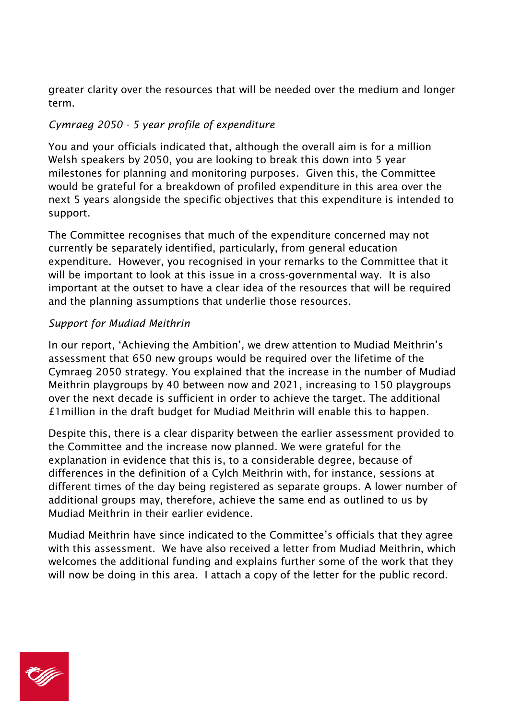greater clarity over the resources that will be needed over the medium and longer term.

# *Cymraeg 2050 - 5 year profile of expenditure*

You and your officials indicated that, although the overall aim is for a million Welsh speakers by 2050, you are looking to break this down into 5 year milestones for planning and monitoring purposes. Given this, the Committee would be grateful for a breakdown of profiled expenditure in this area over the next 5 years alongside the specific objectives that this expenditure is intended to support.

The Committee recognises that much of the expenditure concerned may not currently be separately identified, particularly, from general education expenditure. However, you recognised in your remarks to the Committee that it will be important to look at this issue in a cross-governmental way. It is also important at the outset to have a clear idea of the resources that will be required and the planning assumptions that underlie those resources.

# *Support for Mudiad Meithrin*

In our report, 'Achieving the Ambition', we drew attention to Mudiad Meithrin's assessment that 650 new groups would be required over the lifetime of the Cymraeg 2050 strategy. You explained that the increase in the number of Mudiad Meithrin playgroups by 40 between now and 2021, increasing to 150 playgroups over the next decade is sufficient in order to achieve the target. The additional £1million in the draft budget for Mudiad Meithrin will enable this to happen.

Despite this, there is a clear disparity between the earlier assessment provided to the Committee and the increase now planned. We were grateful for the explanation in evidence that this is, to a considerable degree, because of differences in the definition of a Cylch Meithrin with, for instance, sessions at different times of the day being registered as separate groups. A lower number of additional groups may, therefore, achieve the same end as outlined to us by Mudiad Meithrin in their earlier evidence.

Mudiad Meithrin have since indicated to the Committee's officials that they agree with this assessment. We have also received a letter from Mudiad Meithrin, which welcomes the additional funding and explains further some of the work that they will now be doing in this area. I attach a copy of the letter for the public record.

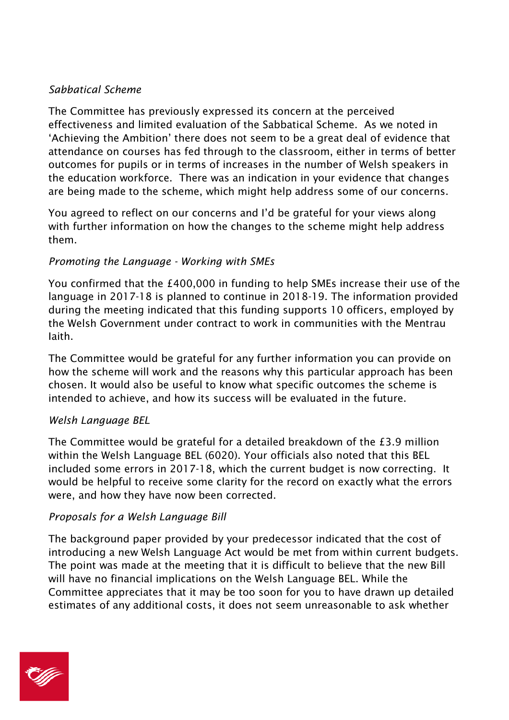# *Sabbatical Scheme*

The Committee has previously expressed its concern at the perceived effectiveness and limited evaluation of the Sabbatical Scheme. As we noted in 'Achieving the Ambition' there does not seem to be a great deal of evidence that attendance on courses has fed through to the classroom, either in terms of better outcomes for pupils or in terms of increases in the number of Welsh speakers in the education workforce. There was an indication in your evidence that changes are being made to the scheme, which might help address some of our concerns.

You agreed to reflect on our concerns and I'd be grateful for your views along with further information on how the changes to the scheme might help address them.

# *Promoting the Language - Working with SMEs*

You confirmed that the £400,000 in funding to help SMEs increase their use of the language in 2017-18 is planned to continue in 2018-19. The information provided during the meeting indicated that this funding supports 10 officers, employed by the Welsh Government under contract to work in communities with the Mentrau Iaith.

The Committee would be grateful for any further information you can provide on how the scheme will work and the reasons why this particular approach has been chosen. It would also be useful to know what specific outcomes the scheme is intended to achieve, and how its success will be evaluated in the future.

# *Welsh Language BEL*

The Committee would be grateful for a detailed breakdown of the £3.9 million within the Welsh Language BEL (6020). Your officials also noted that this BEL included some errors in 2017-18, which the current budget is now correcting. It would be helpful to receive some clarity for the record on exactly what the errors were, and how they have now been corrected.

# *Proposals for a Welsh Language Bill*

The background paper provided by your predecessor indicated that the cost of introducing a new Welsh Language Act would be met from within current budgets. The point was made at the meeting that it is difficult to believe that the new Bill will have no financial implications on the Welsh Language BEL. While the Committee appreciates that it may be too soon for you to have drawn up detailed estimates of any additional costs, it does not seem unreasonable to ask whether